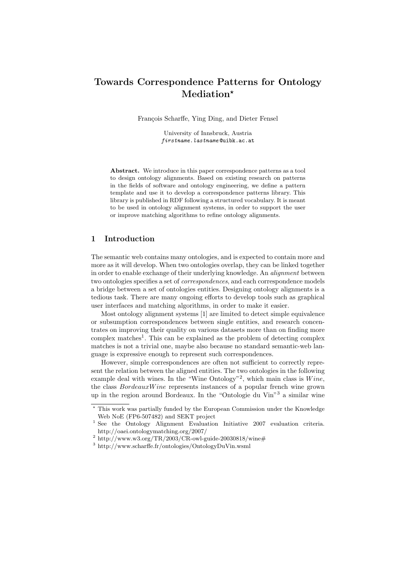# Towards Correspondence Patterns for Ontology Mediation\*

François Scharffe, Ying Ding, and Dieter Fensel

University of Innsbruck, Austria firstname.lastname @uibk.ac.at

Abstract. We introduce in this paper correspondence patterns as a tool to design ontology alignments. Based on existing research on patterns in the fields of software and ontology engineering, we define a pattern template and use it to develop a correspondence patterns library. This library is published in RDF following a structured vocabulary. It is meant to be used in ontology alignment systems, in order to support the user or improve matching algorithms to refine ontology alignments.

## 1 Introduction

The semantic web contains many ontologies, and is expected to contain more and more as it will develop. When two ontologies overlap, they can be linked together in order to enable exchange of their underlying knowledge. An *alianment* between two ontologies specifies a set of *correspondences*, and each correspondence models a bridge between a set of ontologies entities. Designing ontology alignments is a tedious task. There are many ongoing efforts to develop tools such as graphical user interfaces and matching algorithms, in order to make it easier.

Most ontology alignment systems [1] are limited to detect simple equivalence or subsumption correspondences between single entities, and research concentrates on improving their quality on various datasets more than on finding more complex matches<sup>1</sup>. This can be explained as the problem of detecting complex matches is not a trivial one, maybe also because no standard semantic-web language is expressive enough to represent such correspondences.

However, simple correspondences are often not sufficient to correctly represent the relation between the aligned entities. The two ontologies in the following example deal with wines. In the "Wine Ontology"<sup>2</sup>, which main class is  $Wine$ , the class  $BordeauxWine$  represents instances of a popular french wine grown up in the region around Bordeaux. In the "Ontologie du Vin"<sup>3</sup> a similar wine

<sup>?</sup> This work was partially funded by the European Commission under the Knowledge Web NoE (FP6-507482) and SEKT project

<sup>1</sup> See the Ontology Alignment Evaluation Initiative 2007 evaluation criteria. http://oaei.ontologymatching.org/2007/

 $^{2}$  http://www.w3.org/TR/2003/CR-owl-guide-20030818/wine#

<sup>3</sup> http://www.scharffe.fr/ontologies/OntologyDuVin.wsml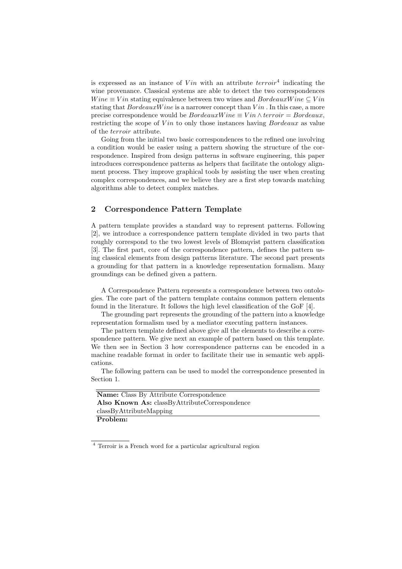is expressed as an instance of  $V$ *in* with an attribute  $terroir<sup>4</sup>$  indicating the wine provenance. Classical systems are able to detect the two correspondences  $Wine \equiv Vin$  stating equivalence between two wines and  $BordeauxWine \subseteq Vin$ stating that  $BordeauxW$  ine is a narrower concept than  $V$  in . In this case, a more precise correspondence would be  $BordeauxWine \equiv Vin \wedge terroir = Bordeaux$ , restricting the scope of  $V$ *in* to only those instances having *Bordeaux* as value of the terroir attribute.

Going from the initial two basic correspondences to the refined one involving a condition would be easier using a pattern showing the structure of the correspondence. Inspired from design patterns in software engineering, this paper introduces correspondence patterns as helpers that facilitate the ontology alignment process. They improve graphical tools by assisting the user when creating complex correspondences, and we believe they are a first step towards matching algorithms able to detect complex matches.

# 2 Correspondence Pattern Template

A pattern template provides a standard way to represent patterns. Following [2], we introduce a correspondence pattern template divided in two parts that roughly correspond to the two lowest levels of Blomqvist pattern classification [3]. The first part, core of the correspondence pattern, defines the pattern using classical elements from design patterns literature. The second part presents a grounding for that pattern in a knowledge representation formalism. Many groundings can be defined given a pattern.

A Correspondence Pattern represents a correspondence between two ontologies. The core part of the pattern template contains common pattern elements found in the literature. It follows the high level classification of the GoF [4].

The grounding part represents the grounding of the pattern into a knowledge representation formalism used by a mediator executing pattern instances.

The pattern template defined above give all the elements to describe a correspondence pattern. We give next an example of pattern based on this template. We then see in Section 3 how correspondence patterns can be encoded in a machine readable format in order to facilitate their use in semantic web applications.

The following pattern can be used to model the correspondence presented in Section 1.

| <b>Name:</b> Class By Attribute Correspondence |
|------------------------------------------------|
| Also Known As: classByAttributeCorrespondence  |
| classByAttributeMapping                        |
| Problem:                                       |

<sup>4</sup> Terroir is a French word for a particular agricultural region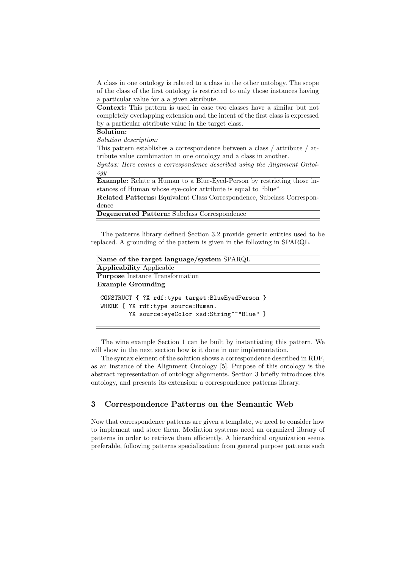A class in one ontology is related to a class in the other ontology. The scope of the class of the first ontology is restricted to only those instances having a particular value for a a given attribute.

Context: This pattern is used in case two classes have a similar but not completely overlapping extension and the intent of the first class is expressed by a particular attribute value in the target class.

## Solution:

Solution description:

This pattern establishes a correspondence between a class / attribute / attribute value combination in one ontology and a class in another.

Syntax: Here comes a correspondence described using the Alignment Ontology

Example: Relate a Human to a Blue-Eyed-Person by restricting those instances of Human whose eye-color attribute is equal to "blue"

Related Patterns: Equivalent Class Correspondence, Subclass Correspondence

Degenerated Pattern: Subclass Correspondence

The patterns library defined Section 3.2 provide generic entities used to be replaced. A grounding of the pattern is given in the following in SPARQL.

| Name of the target language/system SPARQL                                                                                         |
|-----------------------------------------------------------------------------------------------------------------------------------|
| <b>Applicability Applicable</b>                                                                                                   |
| <b>Purpose</b> Instance Transformation                                                                                            |
| <b>Example Grounding</b>                                                                                                          |
| CONSTRUCT { ?X rdf:type target: BlueEyedPerson }<br>WHERE { ?X rdf:type source: Human.<br>?X source:eyeColor xsd:String^^"Blue" } |

The wine example Section 1 can be built by instantiating this pattern. We will show in the next section how is it done in our implementation.

The syntax element of the solution shows a correspondence described in RDF, as an instance of the Alignment Ontology [5]. Purpose of this ontology is the abstract representation of ontology alignments. Section 3 briefly introduces this ontology, and presents its extension: a correspondence patterns library.

# 3 Correspondence Patterns on the Semantic Web

Now that correspondence patterns are given a template, we need to consider how to implement and store them. Mediation systems need an organized library of patterns in order to retrieve them efficiently. A hierarchical organization seems preferable, following patterns specialization: from general purpose patterns such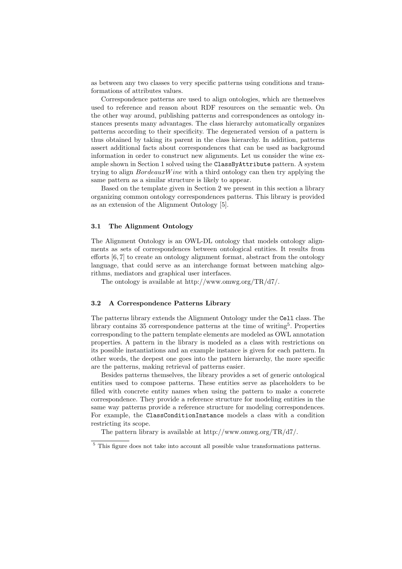as between any two classes to very specific patterns using conditions and transformations of attributes values.

Correspondence patterns are used to align ontologies, which are themselves used to reference and reason about RDF resources on the semantic web. On the other way around, publishing patterns and correspondences as ontology instances presents many advantages. The class hierarchy automatically organizes patterns according to their specificity. The degenerated version of a pattern is thus obtained by taking its parent in the class hierarchy. In addition, patterns assert additional facts about correspondences that can be used as background information in order to construct new alignments. Let us consider the wine example shown in Section 1 solved using the ClassByAttribute pattern. A system trying to align BordeauxW ine with a third ontology can then try applying the same pattern as a similar structure is likely to appear.

Based on the template given in Section 2 we present in this section a library organizing common ontology correspondences patterns. This library is provided as an extension of the Alignment Ontology [5].

#### 3.1 The Alignment Ontology

The Alignment Ontology is an OWL-DL ontology that models ontology alignments as sets of correspondences between ontological entities. It results from efforts [6, 7] to create an ontology alignment format, abstract from the ontology language, that could serve as an interchange format between matching algorithms, mediators and graphical user interfaces.

The ontology is available at http://www.omwg.org/TR/d7/.

#### 3.2 A Correspondence Patterns Library

The patterns library extends the Alignment Ontology under the Cell class. The library contains 35 correspondence patterns at the time of writing<sup>5</sup>. Properties corresponding to the pattern template elements are modeled as OWL annotation properties. A pattern in the library is modeled as a class with restrictions on its possible instantiations and an example instance is given for each pattern. In other words, the deepest one goes into the pattern hierarchy, the more specific are the patterns, making retrieval of patterns easier.

Besides patterns themselves, the library provides a set of generic ontological entities used to compose patterns. These entities serve as placeholders to be filled with concrete entity names when using the pattern to make a concrete correspondence. They provide a reference structure for modeling entities in the same way patterns provide a reference structure for modeling correspondences. For example, the ClassConditionInstance models a class with a condition restricting its scope.

The pattern library is available at http://www.omwg.org/TR/d7/.

<sup>&</sup>lt;sup>5</sup> This figure does not take into account all possible value transformations patterns.